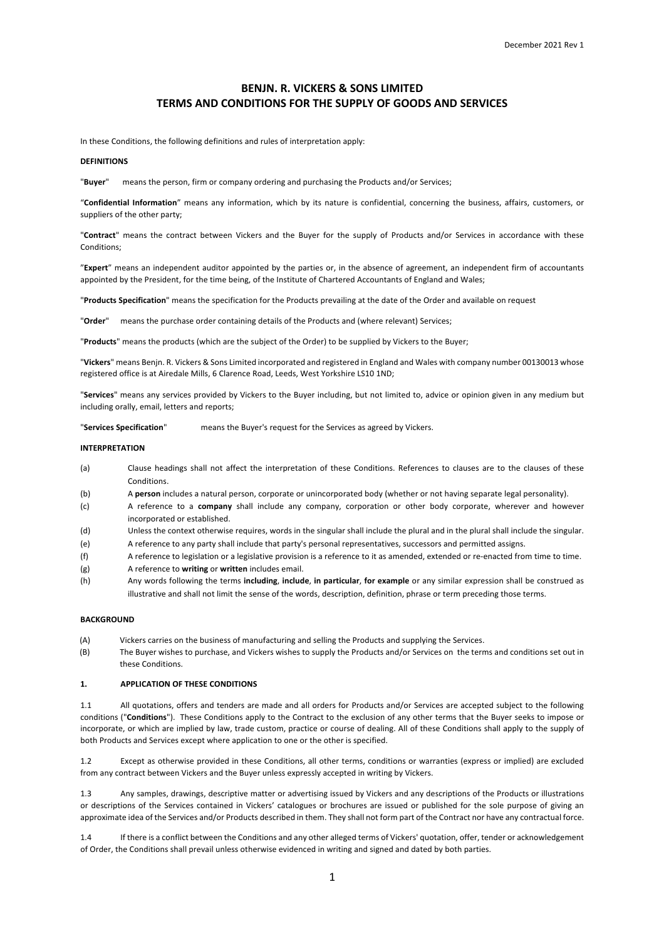# **BENJN. R. VICKERS & SONS LIMITED TERMS AND CONDITIONS FOR THE SUPPLY OF GOODS AND SERVICES**

In these Conditions, the following definitions and rules of interpretation apply:

# **DEFINITIONS**

"**Buyer**" means the person, firm or company ordering and purchasing the Products and/or Services;

"**Confidential Information**" means any information, which by its nature is confidential, concerning the business, affairs, customers, or suppliers of the other party;

"**Contract**" means the contract between Vickers and the Buyer for the supply of Products and/or Services in accordance with these Conditions;

"**Expert**" means an independent auditor appointed by the parties or, in the absence of agreement, an independent firm of accountants appointed by the President, for the time being, of the Institute of Chartered Accountants of England and Wales;

"**Products Specification**" means the specification for the Products prevailing at the date of the Order and available on request

"**Order**" means the purchase order containing details of the Products and (where relevant) Services;

"**Products**" means the products (which are the subject of the Order) to be supplied by Vickers to the Buyer;

"**Vickers**" means Benjn. R. Vickers & Sons Limited incorporated and registered in England and Wales with company number 00130013 whose registered office is at Airedale Mills, 6 Clarence Road, Leeds, West Yorkshire LS10 1ND;

"**Services**" means any services provided by Vickers to the Buyer including, but not limited to, advice or opinion given in any medium but including orally, email, letters and reports;

"**Services Specification**" means the Buyer's request for the Services as agreed by Vickers.

# **INTERPRETATION**

- (a) Clause headings shall not affect the interpretation of these Conditions. References to clauses are to the clauses of these Conditions.
- (b) A **person** includes a natural person, corporate or unincorporated body (whether or not having separate legal personality).
- (c) A reference to a **company** shall include any company, corporation or other body corporate, wherever and however incorporated or established.
- (d) Unless the context otherwise requires, words in the singular shall include the plural and in the plural shall include the singular.
- (e) A reference to any party shall include that party's personal representatives, successors and permitted assigns.
- (f) A reference to legislation or a legislative provision is a reference to it as amended, extended or re-enacted from time to time.
- (g) A reference to **writing** or **written** includes email.
- (h) Any words following the terms **including**, **include**, **in particular**, **for example** or any similar expression shall be construed as illustrative and shall not limit the sense of the words, description, definition, phrase or term preceding those terms.

# **BACKGROUND**

- (A) Vickers carries on the business of manufacturing and selling the Products and supplying the Services.
- (B) The Buyer wishes to purchase, and Vickers wishes to supply the Products and/or Services on the terms and conditions set out in these Conditions.

# **1. APPLICATION OF THESE CONDITIONS**

1.1 All quotations, offers and tenders are made and all orders for Products and/or Services are accepted subject to the following conditions ("**Conditions**"). These Conditions apply to the Contract to the exclusion of any other terms that the Buyer seeks to impose or incorporate, or which are implied by law, trade custom, practice or course of dealing. All of these Conditions shall apply to the supply of both Products and Services except where application to one or the other is specified.

1.2 Except as otherwise provided in these Conditions, all other terms, conditions or warranties (express or implied) are excluded from any contract between Vickers and the Buyer unless expressly accepted in writing by Vickers.

1.3 Any samples, drawings, descriptive matter or advertising issued by Vickers and any descriptions of the Products or illustrations or descriptions of the Services contained in Vickers' catalogues or brochures are issued or published for the sole purpose of giving an approximate idea of the Services and/or Products described in them. They shall not form part of the Contract nor have any contractual force.

1.4 If there is a conflict between the Conditions and any other alleged terms of Vickers' quotation, offer, tender or acknowledgement of Order, the Conditions shall prevail unless otherwise evidenced in writing and signed and dated by both parties.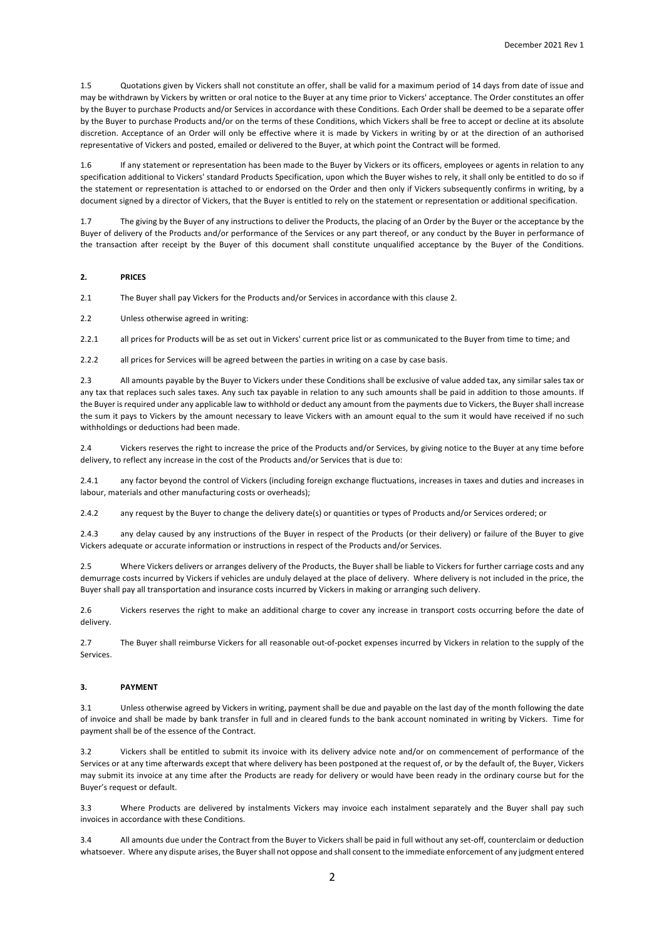1.5 Quotations given by Vickers shall not constitute an offer, shall be valid for a maximum period of 14 days from date of issue and may be withdrawn by Vickers by written or oral notice to the Buyer at any time prior to Vickers' acceptance. The Order constitutes an offer by the Buyer to purchase Products and/or Services in accordance with these Conditions. Each Order shall be deemed to be a separate offer by the Buyer to purchase Products and/or on the terms of these Conditions, which Vickers shall be free to accept or decline at its absolute discretion. Acceptance of an Order will only be effective where it is made by Vickers in writing by or at the direction of an authorised representative of Vickers and posted, emailed or delivered to the Buyer, at which point the Contract will be formed.

1.6 If any statement or representation has been made to the Buyer by Vickers or its officers, employees or agents in relation to any specification additional to Vickers' standard Products Specification, upon which the Buyer wishes to rely, it shall only be entitled to do so if the statement or representation is attached to or endorsed on the Order and then only if Vickers subsequently confirms in writing, by a document signed by a director of Vickers, that the Buyer is entitled to rely on the statement or representation or additional specification.

1.7 The giving by the Buyer of any instructions to deliver the Products, the placing of an Order by the Buyer or the acceptance by the Buyer of delivery of the Products and/or performance of the Services or any part thereof, or any conduct by the Buyer in performance of the transaction after receipt by the Buyer of this document shall constitute unqualified acceptance by the Buyer of the Conditions.

#### **2. PRICES**

2.1 The Buyer shall pay Vickers for the Products and/or Services in accordance with this clause 2.

2.2 Unless otherwise agreed in writing:

2.2.1 all prices for Products will be as set out in Vickers' current price list or as communicated to the Buyer from time to time; and

2.2.2 all prices for Services will be agreed between the parties in writing on a case by case basis.

2.3 All amounts payable by the Buyer to Vickers under these Conditions shall be exclusive of value added tax, any similar sales tax or any tax that replaces such sales taxes. Any such tax payable in relation to any such amounts shall be paid in addition to those amounts. If the Buyer is required under any applicable law to withhold or deduct any amount from the payments due to Vickers, the Buyer shall increase the sum it pays to Vickers by the amount necessary to leave Vickers with an amount equal to the sum it would have received if no such withholdings or deductions had been made.

2.4 Vickers reserves the right to increase the price of the Products and/or Services, by giving notice to the Buyer at any time before delivery, to reflect any increase in the cost of the Products and/or Services that is due to:

2.4.1 any factor beyond the control of Vickers (including foreign exchange fluctuations, increases in taxes and duties and increases in labour, materials and other manufacturing costs or overheads);

2.4.2 any request by the Buyer to change the delivery date(s) or quantities or types of Products and/or Services ordered; or

2.4.3 any delay caused by any instructions of the Buyer in respect of the Products (or their delivery) or failure of the Buyer to give Vickers adequate or accurate information or instructions in respect of the Products and/or Services.

2.5 Where Vickers delivers or arranges delivery of the Products, the Buyer shall be liable to Vickers for further carriage costs and any demurrage costs incurred by Vickers if vehicles are unduly delayed at the place of delivery. Where delivery is not included in the price, the Buyer shall pay all transportation and insurance costs incurred by Vickers in making or arranging such delivery.

2.6 Vickers reserves the right to make an additional charge to cover any increase in transport costs occurring before the date of delivery.

2.7 The Buyer shall reimburse Vickers for all reasonable out-of-pocket expenses incurred by Vickers in relation to the supply of the Services.

#### **3. PAYMENT**

3.1 Unless otherwise agreed by Vickers in writing, payment shall be due and payable on the last day of the month following the date of invoice and shall be made by bank transfer in full and in cleared funds to the bank account nominated in writing by Vickers. Time for payment shall be of the essence of the Contract.

3.2 Vickers shall be entitled to submit its invoice with its delivery advice note and/or on commencement of performance of the Services or at any time afterwards except that where delivery has been postponed at the request of, or by the default of, the Buyer, Vickers may submit its invoice at any time after the Products are ready for delivery or would have been ready in the ordinary course but for the Buyer's request or default.

3.3 Where Products are delivered by instalments Vickers may invoice each instalment separately and the Buyer shall pay such invoices in accordance with these Conditions.

3.4 All amounts due under the Contract from the Buyer to Vickers shall be paid in full without any set-off, counterclaim or deduction whatsoever. Where any dispute arises, the Buyer shall not oppose and shall consent to the immediate enforcement of any judgment entered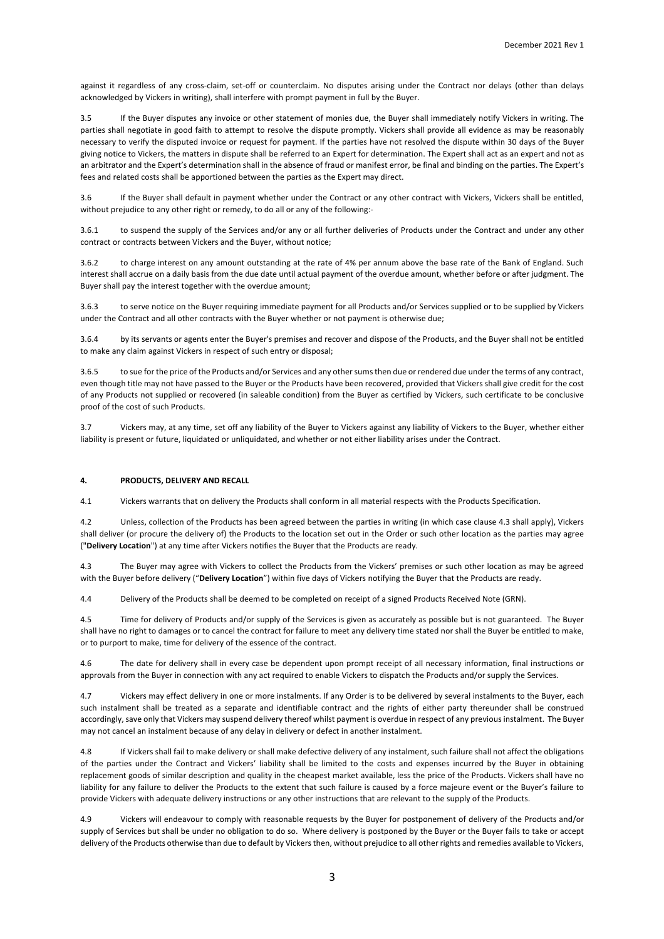against it regardless of any cross-claim, set-off or counterclaim. No disputes arising under the Contract nor delays (other than delays acknowledged by Vickers in writing), shall interfere with prompt payment in full by the Buyer.

3.5 If the Buyer disputes any invoice or other statement of monies due, the Buyer shall immediately notify Vickers in writing. The parties shall negotiate in good faith to attempt to resolve the dispute promptly. Vickers shall provide all evidence as may be reasonably necessary to verify the disputed invoice or request for payment. If the parties have not resolved the dispute within 30 days of the Buyer giving notice to Vickers, the matters in dispute shall be referred to an Expert for determination. The Expert shall act as an expert and not as an arbitrator and the Expert's determination shall in the absence of fraud or manifest error, be final and binding on the parties. The Expert's fees and related costs shall be apportioned between the parties as the Expert may direct.

3.6 If the Buyer shall default in payment whether under the Contract or any other contract with Vickers, Vickers shall be entitled, without prejudice to any other right or remedy, to do all or any of the following:-

3.6.1 to suspend the supply of the Services and/or any or all further deliveries of Products under the Contract and under any other contract or contracts between Vickers and the Buyer, without notice;

3.6.2 to charge interest on any amount outstanding at the rate of 4% per annum above the base rate of the Bank of England. Such interest shall accrue on a daily basis from the due date until actual payment of the overdue amount, whether before or after judgment. The Buyer shall pay the interest together with the overdue amount;

3.6.3 to serve notice on the Buyer requiring immediate payment for all Products and/or Services supplied or to be supplied by Vickers under the Contract and all other contracts with the Buyer whether or not payment is otherwise due;

3.6.4 by its servants or agents enter the Buyer's premises and recover and dispose of the Products, and the Buyer shall not be entitled to make any claim against Vickers in respect of such entry or disposal;

3.6.5 to sue for the price of the Products and/or Services and any other sums then due or rendered due under the terms of any contract, even though title may not have passed to the Buyer or the Products have been recovered, provided that Vickers shall give credit for the cost of any Products not supplied or recovered (in saleable condition) from the Buyer as certified by Vickers, such certificate to be conclusive proof of the cost of such Products.

3.7 Vickers may, at any time, set off any liability of the Buyer to Vickers against any liability of Vickers to the Buyer, whether either liability is present or future, liquidated or unliquidated, and whether or not either liability arises under the Contract.

# **4. PRODUCTS, DELIVERY AND RECALL**

4.1 Vickers warrants that on delivery the Products shall conform in all material respects with the Products Specification.

4.2 Unless, collection of the Products has been agreed between the parties in writing (in which case clause 4.3 shall apply), Vickers shall deliver (or procure the delivery of) the Products to the location set out in the Order or such other location as the parties may agree ("**Delivery Location**") at any time after Vickers notifies the Buyer that the Products are ready.

4.3 The Buyer may agree with Vickers to collect the Products from the Vickers' premises or such other location as may be agreed with the Buyer before delivery ("**Delivery Location**") within five days of Vickers notifying the Buyer that the Products are ready.

4.4 Delivery of the Products shall be deemed to be completed on receipt of a signed Products Received Note (GRN).

4.5 Time for delivery of Products and/or supply of the Services is given as accurately as possible but is not guaranteed. The Buyer shall have no right to damages or to cancel the contract for failure to meet any delivery time stated nor shall the Buyer be entitled to make, or to purport to make, time for delivery of the essence of the contract.

4.6 The date for delivery shall in every case be dependent upon prompt receipt of all necessary information, final instructions or approvals from the Buyer in connection with any act required to enable Vickers to dispatch the Products and/or supply the Services.

4.7 Vickers may effect delivery in one or more instalments. If any Order is to be delivered by several instalments to the Buyer, each such instalment shall be treated as a separate and identifiable contract and the rights of either party thereunder shall be construed accordingly, save only that Vickers may suspend delivery thereof whilst payment is overdue in respect of any previous instalment. The Buyer may not cancel an instalment because of any delay in delivery or defect in another instalment.

4.8 If Vickers shall fail to make delivery or shall make defective delivery of any instalment, such failure shall not affect the obligations of the parties under the Contract and Vickers' liability shall be limited to the costs and expenses incurred by the Buyer in obtaining replacement goods of similar description and quality in the cheapest market available, less the price of the Products. Vickers shall have no liability for any failure to deliver the Products to the extent that such failure is caused by a force majeure event or the Buyer's failure to provide Vickers with adequate delivery instructions or any other instructions that are relevant to the supply of the Products.

4.9 Vickers will endeavour to comply with reasonable requests by the Buyer for postponement of delivery of the Products and/or supply of Services but shall be under no obligation to do so. Where delivery is postponed by the Buyer or the Buyer fails to take or accept delivery of the Products otherwise than due to default by Vickers then, without prejudice to all other rights and remedies available to Vickers,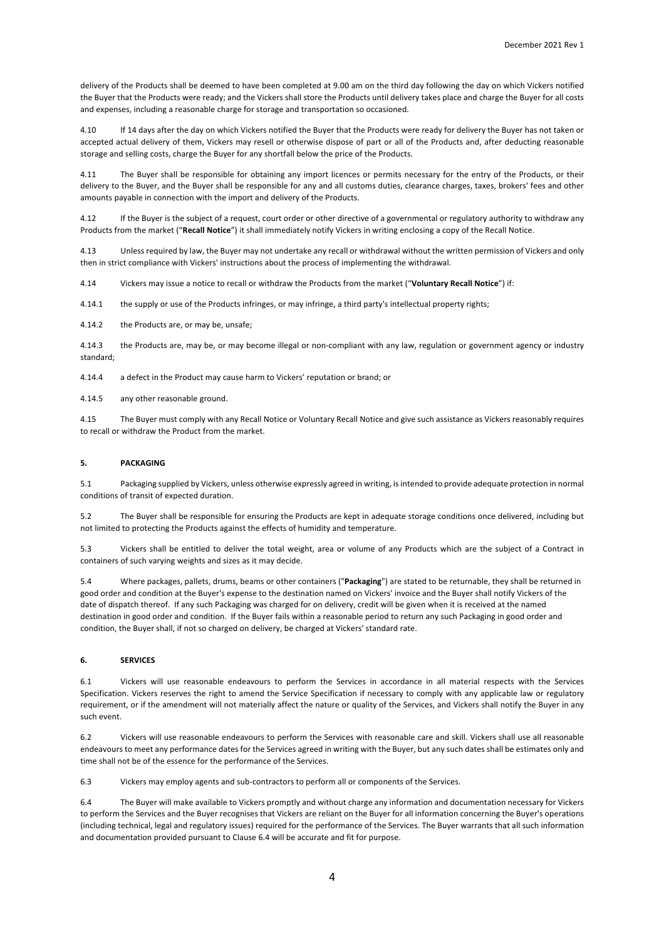delivery of the Products shall be deemed to have been completed at 9.00 am on the third day following the day on which Vickers notified the Buyer that the Products were ready; and the Vickers shall store the Products until delivery takes place and charge the Buyer for all costs and expenses, including a reasonable charge for storage and transportation so occasioned.

4.10 If 14 days after the day on which Vickers notified the Buyer that the Products were ready for delivery the Buyer has not taken or accepted actual delivery of them, Vickers may resell or otherwise dispose of part or all of the Products and, after deducting reasonable storage and selling costs, charge the Buyer for any shortfall below the price of the Products.

The Buyer shall be responsible for obtaining any import licences or permits necessary for the entry of the Products, or their delivery to the Buyer, and the Buyer shall be responsible for any and all customs duties, clearance charges, taxes, brokers' fees and other amounts payable in connection with the import and delivery of the Products.

4.12 If the Buyer is the subject of a request, court order or other directive of a governmental or regulatory authority to withdraw any Products from the market ("**Recall Notice**") it shall immediately notify Vickers in writing enclosing a copy of the Recall Notice.

4.13 Unless required by law, the Buyer may not undertake any recall or withdrawal without the written permission of Vickers and only then in strict compliance with Vickers' instructions about the process of implementing the withdrawal.

4.14 Vickers may issue a notice to recall or withdraw the Products from the market ("**Voluntary Recall Notice**") if:

4.14.1 the supply or use of the Products infringes, or may infringe, a third party's intellectual property rights;

4.14.2 the Products are, or may be, unsafe;

4.14.3 the Products are, may be, or may become illegal or non-compliant with any law, regulation or government agency or industry standard;

4.14.4 a defect in the Product may cause harm to Vickers' reputation or brand; or

4.14.5 any other reasonable ground.

4.15 The Buyer must comply with any Recall Notice or Voluntary Recall Notice and give such assistance as Vickers reasonably requires to recall or withdraw the Product from the market.

# **5. PACKAGING**

5.1 Packaging supplied by Vickers, unless otherwise expressly agreed in writing, is intended to provide adequate protection in normal conditions of transit of expected duration.

5.2 The Buyer shall be responsible for ensuring the Products are kept in adequate storage conditions once delivered, including but not limited to protecting the Products against the effects of humidity and temperature.

5.3 Vickers shall be entitled to deliver the total weight, area or volume of any Products which are the subject of a Contract in containers of such varying weights and sizes as it may decide.

5.4 Where packages, pallets, drums, beams or other containers ("**Packaging**") are stated to be returnable, they shall be returned in good order and condition at the Buyer's expense to the destination named on Vickers' invoice and the Buyer shall notify Vickers of the date of dispatch thereof. If any such Packaging was charged for on delivery, credit will be given when it is received at the named destination in good order and condition. If the Buyer fails within a reasonable period to return any such Packaging in good order and condition, the Buyer shall, if not so charged on delivery, be charged at Vickers' standard rate.

# **6. SERVICES**

6.1 Vickers will use reasonable endeavours to perform the Services in accordance in all material respects with the Services Specification. Vickers reserves the right to amend the Service Specification if necessary to comply with any applicable law or regulatory requirement, or if the amendment will not materially affect the nature or quality of the Services, and Vickers shall notify the Buyer in any such event.

6.2 Vickers will use reasonable endeavours to perform the Services with reasonable care and skill. Vickers shall use all reasonable endeavours to meet any performance dates for the Services agreed in writing with the Buyer, but any such dates shall be estimates only and time shall not be of the essence for the performance of the Services.

6.3 Vickers may employ agents and sub-contractors to perform all or components of the Services.

6.4 The Buyer will make available to Vickers promptly and without charge any information and documentation necessary for Vickers to perform the Services and the Buyer recognises that Vickers are reliant on the Buyer for all information concerning the Buyer's operations (including technical, legal and regulatory issues) required for the performance of the Services. The Buyer warrants that all such information and documentation provided pursuant to Clause 6.4 will be accurate and fit for purpose.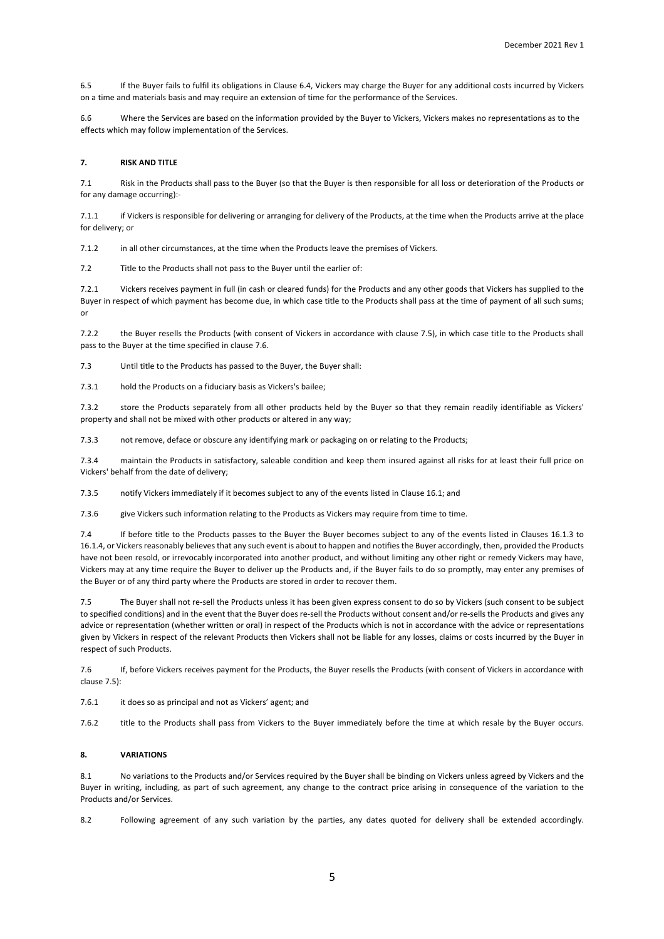6.5 If the Buyer fails to fulfil its obligations in Clause 6.4, Vickers may charge the Buyer for any additional costs incurred by Vickers on a time and materials basis and may require an extension of time for the performance of the Services.

6.6 Where the Services are based on the information provided by the Buyer to Vickers, Vickers makes no representations as to the effects which may follow implementation of the Services.

### **7. RISK AND TITLE**

7.1 Risk in the Products shall pass to the Buyer (so that the Buyer is then responsible for all loss or deterioration of the Products or for any damage occurring):-

7.1.1 if Vickers is responsible for delivering or arranging for delivery of the Products, at the time when the Products arrive at the place for delivery; or

7.1.2 in all other circumstances, at the time when the Products leave the premises of Vickers.

7.2 Title to the Products shall not pass to the Buyer until the earlier of:

7.2.1 Vickers receives payment in full (in cash or cleared funds) for the Products and any other goods that Vickers has supplied to the Buyer in respect of which payment has become due, in which case title to the Products shall pass at the time of payment of all such sums; or

7.2.2 the Buyer resells the Products (with consent of Vickers in accordance with clause 7.5), in which case title to the Products shall pass to the Buyer at the time specified in clause 7.6.

7.3 Until title to the Products has passed to the Buyer, the Buyer shall:

7.3.1 hold the Products on a fiduciary basis as Vickers's bailee;

7.3.2 store the Products separately from all other products held by the Buyer so that they remain readily identifiable as Vickers' property and shall not be mixed with other products or altered in any way;

7.3.3 not remove, deface or obscure any identifying mark or packaging on or relating to the Products;

7.3.4 maintain the Products in satisfactory, saleable condition and keep them insured against all risks for at least their full price on Vickers' behalf from the date of delivery;

7.3.5 notify Vickers immediately if it becomes subject to any of the events listed in Clause 16.1; and

7.3.6 give Vickers such information relating to the Products as Vickers may require from time to time.

7.4 If before title to the Products passes to the Buyer the Buyer becomes subject to any of the events listed in Clauses 16.1.3 to 16.1.4, or Vickers reasonably believes that any such event is about to happen and notifies the Buyer accordingly, then, provided the Products have not been resold, or irrevocably incorporated into another product, and without limiting any other right or remedy Vickers may have, Vickers may at any time require the Buyer to deliver up the Products and, if the Buyer fails to do so promptly, may enter any premises of the Buyer or of any third party where the Products are stored in order to recover them.

7.5 The Buyer shall not re-sell the Products unless it has been given express consent to do so by Vickers (such consent to be subject to specified conditions) and in the event that the Buyer does re-sell the Products without consent and/or re-sells the Products and gives any advice or representation (whether written or oral) in respect of the Products which is not in accordance with the advice or representations given by Vickers in respect of the relevant Products then Vickers shall not be liable for any losses, claims or costs incurred by the Buyer in respect of such Products.

7.6 If, before Vickers receives payment for the Products, the Buyer resells the Products (with consent of Vickers in accordance with clause 7.5):

7.6.1 it does so as principal and not as Vickers' agent; and

7.6.2 title to the Products shall pass from Vickers to the Buyer immediately before the time at which resale by the Buyer occurs.

# **8. VARIATIONS**

8.1 No variations to the Products and/or Services required by the Buyer shall be binding on Vickers unless agreed by Vickers and the Buyer in writing, including, as part of such agreement, any change to the contract price arising in consequence of the variation to the Products and/or Services.

8.2 Following agreement of any such variation by the parties, any dates quoted for delivery shall be extended accordingly.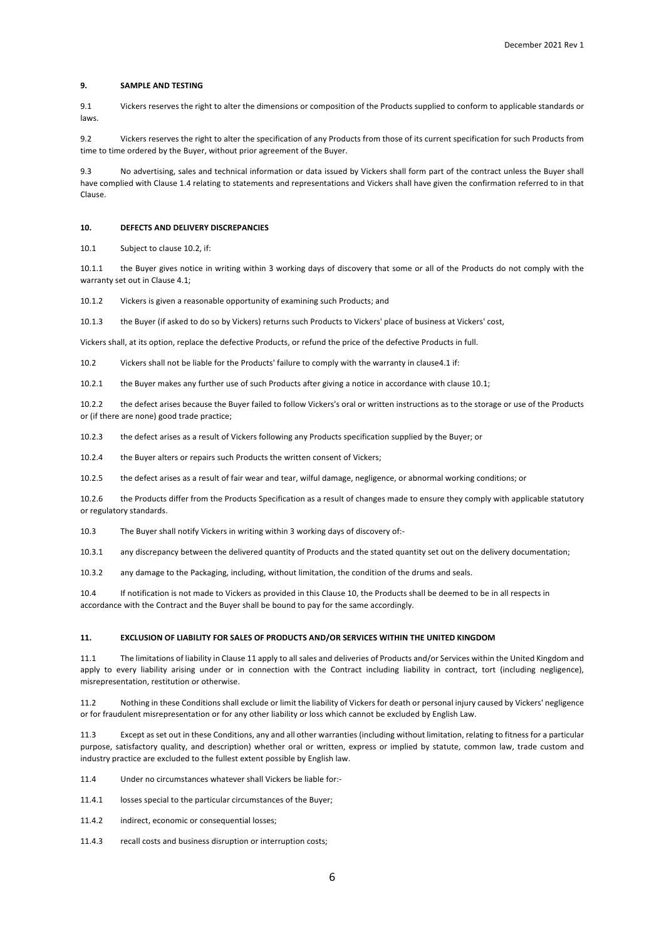# **9. SAMPLE AND TESTING**

9.1 Vickers reserves the right to alter the dimensions or composition of the Products supplied to conform to applicable standards or laws.

9.2 Vickers reserves the right to alter the specification of any Products from those of its current specification for such Products from time to time ordered by the Buyer, without prior agreement of the Buyer.

9.3 No advertising, sales and technical information or data issued by Vickers shall form part of the contract unless the Buyer shall have complied with Clause 1.4 relating to statements and representations and Vickers shall have given the confirmation referred to in that Clause.

## **10. DEFECTS AND DELIVERY DISCREPANCIES**

10.1 Subject to clause 10.2, if:

10.1.1 the Buyer gives notice in writing within 3 working days of discovery that some or all of the Products do not comply with the warranty set out in Clause 4.1;

10.1.2 Vickers is given a reasonable opportunity of examining such Products; and

10.1.3 the Buyer (if asked to do so by Vickers) returns such Products to Vickers' place of business at Vickers' cost,

Vickers shall, at its option, replace the defective Products, or refund the price of the defective Products in full.

10.2 Vickers shall not be liable for the Products' failure to comply with the warranty in clause4.1 if:

10.2.1 the Buyer makes any further use of such Products after giving a notice in accordance with clause 10.1;

10.2.2 the defect arises because the Buyer failed to follow Vickers's oral or written instructions as to the storage or use of the Products or (if there are none) good trade practice;

10.2.3 the defect arises as a result of Vickers following any Products specification supplied by the Buyer; or

10.2.4 the Buyer alters or repairs such Products the written consent of Vickers;

10.2.5 the defect arises as a result of fair wear and tear, wilful damage, negligence, or abnormal working conditions; or

10.2.6 the Products differ from the Products Specification as a result of changes made to ensure they comply with applicable statutory or regulatory standards.

10.3 The Buyer shall notify Vickers in writing within 3 working days of discovery of:-

10.3.1 any discrepancy between the delivered quantity of Products and the stated quantity set out on the delivery documentation;

10.3.2 any damage to the Packaging, including, without limitation, the condition of the drums and seals.

10.4 If notification is not made to Vickers as provided in this Clause 10, the Products shall be deemed to be in all respects in accordance with the Contract and the Buyer shall be bound to pay for the same accordingly.

#### **11. EXCLUSION OF LIABILITY FOR SALES OF PRODUCTS AND/OR SERVICES WITHIN THE UNITED KINGDOM**

11.1 The limitations of liability in Clause 11 apply to all sales and deliveries of Products and/or Services within the United Kingdom and apply to every liability arising under or in connection with the Contract including liability in contract, tort (including negligence), misrepresentation, restitution or otherwise.

11.2 Nothing in these Conditions shall exclude or limit the liability of Vickers for death or personal injury caused by Vickers' negligence or for fraudulent misrepresentation or for any other liability or loss which cannot be excluded by English Law.

11.3 Except as set out in these Conditions, any and all other warranties (including without limitation, relating to fitness for a particular purpose, satisfactory quality, and description) whether oral or written, express or implied by statute, common law, trade custom and industry practice are excluded to the fullest extent possible by English law.

11.4 Under no circumstances whatever shall Vickers be liable for:-

11.4.1 losses special to the particular circumstances of the Buyer;

11.4.2 indirect, economic or consequential losses:

11.4.3 recall costs and business disruption or interruption costs;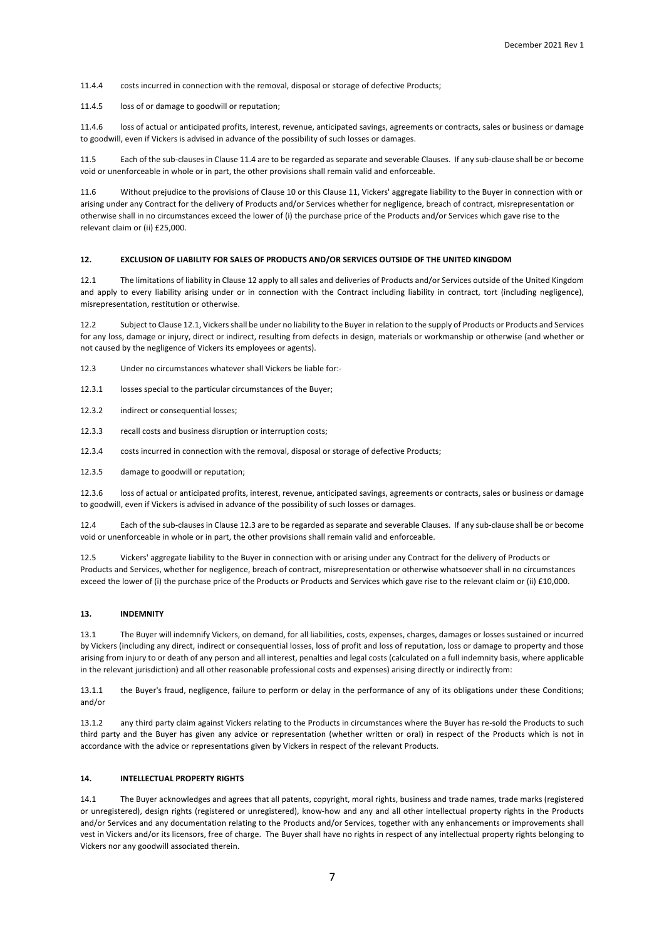11.4.4 costs incurred in connection with the removal, disposal or storage of defective Products;

11.4.5 loss of or damage to goodwill or reputation;

11.4.6 loss of actual or anticipated profits, interest, revenue, anticipated savings, agreements or contracts, sales or business or damage to goodwill, even if Vickers is advised in advance of the possibility of such losses or damages.

11.5 Each of the sub-clauses in Clause 11.4 are to be regarded as separate and severable Clauses. If any sub-clause shall be or become void or unenforceable in whole or in part, the other provisions shall remain valid and enforceable.

11.6 Without prejudice to the provisions of Clause 10 or this Clause 11, Vickers' aggregate liability to the Buyer in connection with or arising under any Contract for the delivery of Products and/or Services whether for negligence, breach of contract, misrepresentation or otherwise shall in no circumstances exceed the lower of (i) the purchase price of the Products and/or Services which gave rise to the relevant claim or (ii) £25,000.

# **12. EXCLUSION OF LIABILITY FOR SALES OF PRODUCTS AND/OR SERVICES OUTSIDE OF THE UNITED KINGDOM**

12.1 The limitations of liability in Clause 12 apply to all sales and deliveries of Products and/or Services outside of the United Kingdom and apply to every liability arising under or in connection with the Contract including liability in contract, tort (including negligence), misrepresentation, restitution or otherwise.

12.2 Subject to Clause 12.1, Vickers shall be under no liability to the Buyer in relation to the supply of Products or Products and Services for any loss, damage or injury, direct or indirect, resulting from defects in design, materials or workmanship or otherwise (and whether or not caused by the negligence of Vickers its employees or agents).

12.3 Under no circumstances whatever shall Vickers be liable for:-

12.3.1 losses special to the particular circumstances of the Buyer;

12.3.2 indirect or consequential losses;

12.3.3 recall costs and business disruption or interruption costs;

12.3.4 costs incurred in connection with the removal, disposal or storage of defective Products;

12.3.5 damage to goodwill or reputation;

12.3.6 loss of actual or anticipated profits, interest, revenue, anticipated savings, agreements or contracts, sales or business or damage to goodwill, even if Vickers is advised in advance of the possibility of such losses or damages.

12.4 Each of the sub-clauses in Clause 12.3 are to be regarded as separate and severable Clauses. If any sub-clause shall be or become void or unenforceable in whole or in part, the other provisions shall remain valid and enforceable.

12.5 Vickers' aggregate liability to the Buyer in connection with or arising under any Contract for the delivery of Products or Products and Services, whether for negligence, breach of contract, misrepresentation or otherwise whatsoever shall in no circumstances exceed the lower of (i) the purchase price of the Products or Products and Services which gave rise to the relevant claim or (ii) £10,000.

#### **13. INDEMNITY**

13.1 The Buyer will indemnify Vickers, on demand, for all liabilities, costs, expenses, charges, damages or losses sustained or incurred by Vickers (including any direct, indirect or consequential losses, loss of profit and loss of reputation, loss or damage to property and those arising from injury to or death of any person and all interest, penalties and legal costs (calculated on a full indemnity basis, where applicable in the relevant jurisdiction) and all other reasonable professional costs and expenses) arising directly or indirectly from:

13.1.1 the Buyer's fraud, negligence, failure to perform or delay in the performance of any of its obligations under these Conditions; and/or

13.1.2 any third party claim against Vickers relating to the Products in circumstances where the Buyer has re-sold the Products to such third party and the Buyer has given any advice or representation (whether written or oral) in respect of the Products which is not in accordance with the advice or representations given by Vickers in respect of the relevant Products.

# **14. INTELLECTUAL PROPERTY RIGHTS**

14.1 The Buyer acknowledges and agrees that all patents, copyright, moral rights, business and trade names, trade marks (registered or unregistered), design rights (registered or unregistered), know-how and any and all other intellectual property rights in the Products and/or Services and any documentation relating to the Products and/or Services, together with any enhancements or improvements shall vest in Vickers and/or its licensors, free of charge. The Buyer shall have no rights in respect of any intellectual property rights belonging to Vickers nor any goodwill associated therein.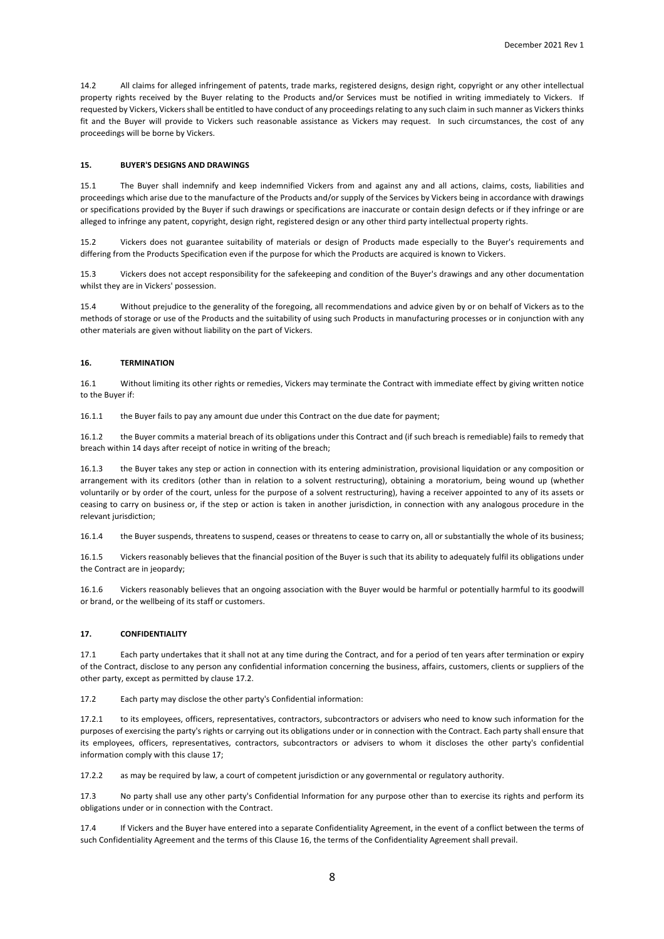14.2 All claims for alleged infringement of patents, trade marks, registered designs, design right, copyright or any other intellectual property rights received by the Buyer relating to the Products and/or Services must be notified in writing immediately to Vickers. If requested by Vickers, Vickers shall be entitled to have conduct of any proceedings relating to any such claim in such manner as Vickers thinks fit and the Buyer will provide to Vickers such reasonable assistance as Vickers may request. In such circumstances, the cost of any proceedings will be borne by Vickers.

# **15. BUYER'S DESIGNS AND DRAWINGS**

15.1 The Buyer shall indemnify and keep indemnified Vickers from and against any and all actions, claims, costs, liabilities and proceedings which arise due to the manufacture of the Products and/or supply of the Services by Vickers being in accordance with drawings or specifications provided by the Buyer if such drawings or specifications are inaccurate or contain design defects or if they infringe or are alleged to infringe any patent, copyright, design right, registered design or any other third party intellectual property rights.

15.2 Vickers does not guarantee suitability of materials or design of Products made especially to the Buyer's requirements and differing from the Products Specification even if the purpose for which the Products are acquired is known to Vickers.

15.3 Vickers does not accept responsibility for the safekeeping and condition of the Buyer's drawings and any other documentation whilst they are in Vickers' possession.

15.4 Without prejudice to the generality of the foregoing, all recommendations and advice given by or on behalf of Vickers as to the methods of storage or use of the Products and the suitability of using such Products in manufacturing processes or in conjunction with any other materials are given without liability on the part of Vickers.

# **16. TERMINATION**

16.1 Without limiting its other rights or remedies, Vickers may terminate the Contract with immediate effect by giving written notice to the Buyer if:

16.1.1 the Buyer fails to pay any amount due under this Contract on the due date for payment;

16.1.2 the Buyer commits a material breach of its obligations under this Contract and (if such breach is remediable) fails to remedy that breach within 14 days after receipt of notice in writing of the breach;

16.1.3 the Buyer takes any step or action in connection with its entering administration, provisional liquidation or any composition or arrangement with its creditors (other than in relation to a solvent restructuring), obtaining a moratorium, being wound up (whether voluntarily or by order of the court, unless for the purpose of a solvent restructuring), having a receiver appointed to any of its assets or ceasing to carry on business or, if the step or action is taken in another jurisdiction, in connection with any analogous procedure in the relevant jurisdiction:

16.1.4 the Buyer suspends, threatens to suspend, ceases or threatens to cease to carry on, all or substantially the whole of its business;

16.1.5 Vickers reasonably believes that the financial position of the Buyer is such that its ability to adequately fulfil its obligations under the Contract are in jeopardy;

16.1.6 Vickers reasonably believes that an ongoing association with the Buyer would be harmful or potentially harmful to its goodwill or brand, or the wellbeing of its staff or customers.

# **17. CONFIDENTIALITY**

17.1 Each party undertakes that it shall not at any time during the Contract, and for a period of ten years after termination or expiry of the Contract, disclose to any person any confidential information concerning the business, affairs, customers, clients or suppliers of the other party, except as permitted by clause 17.2.

17.2 Each party may disclose the other party's Confidential information:

17.2.1 to its employees, officers, representatives, contractors, subcontractors or advisers who need to know such information for the purposes of exercising the party's rights or carrying out its obligations under or in connection with the Contract. Each party shall ensure that its employees, officers, representatives, contractors, subcontractors or advisers to whom it discloses the other party's confidential information comply with this clause 17;

17.2.2 as may be required by law, a court of competent jurisdiction or any governmental or regulatory authority.

17.3 No party shall use any other party's Confidential Information for any purpose other than to exercise its rights and perform its obligations under or in connection with the Contract.

17.4 If Vickers and the Buyer have entered into a separate Confidentiality Agreement, in the event of a conflict between the terms of such Confidentiality Agreement and the terms of this Clause 16, the terms of the Confidentiality Agreement shall prevail.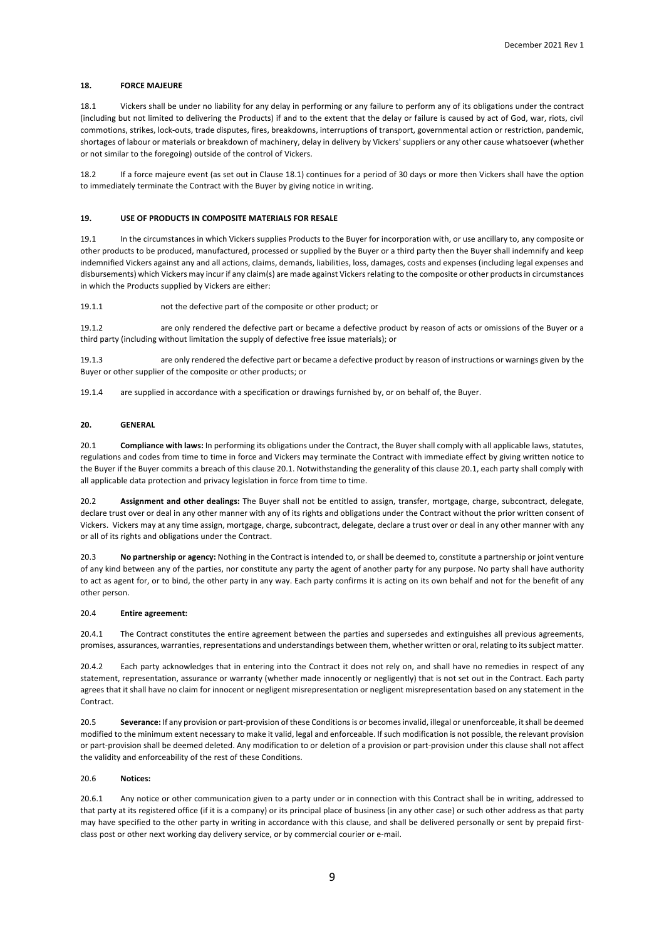# **18. FORCE MAJEURE**

18.1 Vickers shall be under no liability for any delay in performing or any failure to perform any of its obligations under the contract (including but not limited to delivering the Products) if and to the extent that the delay or failure is caused by act of God, war, riots, civil commotions, strikes, lock-outs, trade disputes, fires, breakdowns, interruptions of transport, governmental action or restriction, pandemic, shortages of labour or materials or breakdown of machinery, delay in delivery by Vickers' suppliers or any other cause whatsoever (whether or not similar to the foregoing) outside of the control of Vickers.

18.2 If a force majeure event (as set out in Clause 18.1) continues for a period of 30 days or more then Vickers shall have the option to immediately terminate the Contract with the Buyer by giving notice in writing.

# **19. USE OF PRODUCTS IN COMPOSITE MATERIALS FOR RESALE**

19.1 In the circumstances in which Vickers supplies Products to the Buyer for incorporation with, or use ancillary to, any composite or other products to be produced, manufactured, processed or supplied by the Buyer or a third party then the Buyer shall indemnify and keep indemnified Vickers against any and all actions, claims, demands, liabilities, loss, damages, costs and expenses (including legal expenses and disbursements) which Vickers may incur if any claim(s) are made against Vickers relating to the composite or other products in circumstances in which the Products supplied by Vickers are either:

19.1.1 not the defective part of the composite or other product; or

19.1.2 are only rendered the defective part or became a defective product by reason of acts or omissions of the Buyer or a third party (including without limitation the supply of defective free issue materials); or

19.1.3 are only rendered the defective part or became a defective product by reason of instructions or warnings given by the Buyer or other supplier of the composite or other products; or

19.1.4 are supplied in accordance with a specification or drawings furnished by, or on behalf of, the Buyer.

# **20. GENERAL**

20.1 **Compliance with laws:** In performing its obligations under the Contract, the Buyer shall comply with all applicable laws, statutes, regulations and codes from time to time in force and Vickers may terminate the Contract with immediate effect by giving written notice to the Buyer if the Buyer commits a breach of this clause 20.1. Notwithstanding the generality of this clause 20.1, each party shall comply with all applicable data protection and privacy legislation in force from time to time.

20.2 **Assignment and other dealings:** The Buyer shall not be entitled to assign, transfer, mortgage, charge, subcontract, delegate, declare trust over or deal in any other manner with any of its rights and obligations under the Contract without the prior written consent of Vickers. Vickers may at any time assign, mortgage, charge, subcontract, delegate, declare a trust over or deal in any other manner with any or all of its rights and obligations under the Contract.

20.3 **No partnership or agency:** Nothing in the Contract is intended to, or shall be deemed to, constitute a partnership or joint venture of any kind between any of the parties, nor constitute any party the agent of another party for any purpose. No party shall have authority to act as agent for, or to bind, the other party in any way. Each party confirms it is acting on its own behalf and not for the benefit of any other person.

#### 20.4 **Entire agreement:**

20.4.1 The Contract constitutes the entire agreement between the parties and supersedes and extinguishes all previous agreements, promises, assurances, warranties, representations and understandings between them, whether written or oral, relating to its subject matter.

20.4.2 Each party acknowledges that in entering into the Contract it does not rely on, and shall have no remedies in respect of any statement, representation, assurance or warranty (whether made innocently or negligently) that is not set out in the Contract. Each party agrees that it shall have no claim for innocent or negligent misrepresentation or negligent misrepresentation based on any statement in the Contract.

20.5 **Severance:** If any provision or part-provision of these Conditions is or becomes invalid, illegal or unenforceable, it shall be deemed modified to the minimum extent necessary to make it valid, legal and enforceable. If such modification is not possible, the relevant provision or part-provision shall be deemed deleted. Any modification to or deletion of a provision or part-provision under this clause shall not affect the validity and enforceability of the rest of these Conditions.

# 20.6 **Notices:**

20.6.1 Any notice or other communication given to a party under or in connection with this Contract shall be in writing, addressed to that party at its registered office (if it is a company) or its principal place of business (in any other case) or such other address as that party may have specified to the other party in writing in accordance with this clause, and shall be delivered personally or sent by prepaid firstclass post or other next working day delivery service, or by commercial courier or e-mail.